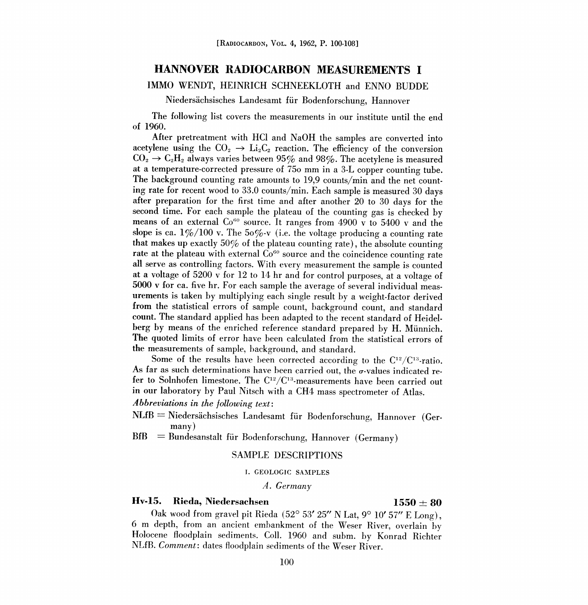### HANNOVER RADIOCARBON MEASUREMENTS I

### IMMO WENDT, HEINRICH SCHNEEKLOTH and ENNO BUDDE

Niedersächsisches Landesamt für Bodenforschung, Hannover

The following list covers the measurements in our institute until the end of 1960.

After pretreatment with HCl and NaOH the samples are converted into acetylene using the  $CO_2 \rightarrow Li_2C_2$  reaction. The efficiency of the conversion  $CO<sub>2</sub> \rightarrow C<sub>2</sub>H<sub>2</sub>$  always varies between 95% and 98%. The acetylene is measured at a temperature-corrected pressure of 75o mm in a 3-L copper counting tube. The background counting rate amounts to 19,9 counts/min and the net counting rate for recent wood to 33.0 counts/min. Each sample is measured 30 days after preparation for the first time and after another 20 to 30 days for the second time. For each sample the plateau of the counting gas is checked by means of an external  $Co^{60}$  source. It ranges from 4900 v to 5400 v and the slope is ca.  $1\%/100$  v. The  $50\%$ -v (i.e. the voltage producing a counting rate that makes up exactly 50% of the plateau counting rate), the absolute counting rate at the plateau with external  $Co<sup>60</sup>$  source and the coincidence counting rate all serve as controlling factors. With every measurement the sample is counted at a voltage of 5200 v for 12 to 14 hr and for control purposes, at a voltage of urements is taken by multiplying each single result by a weight-factor derived from the statistical errors of sample count, background count, and standard count. The standard applied has been adapted to the recent standard of Heidelberg by means of the enriched reference standard prepared by H. Miinnich. The quoted limits of error have been calculated from the statistical errors of the measurements of sample, background, and standard.

Some of the results have been corrected according to the  $C^{12}/C^{13}$ -ratio.<br>As far as such determinations have been carried out, the  $\sigma$ -values indicated refer to Solnhofen limestone. The  $C^{12}/C^{13}$ -measurements have been carried out in our laboratory by Paul Nitsch with a CH4 mass spectrometer of Atlas.

Abbreviations in the following text:

- $NLfB = Niedersächsisches$  Landesamt für Bodenforschung, Hannover (Germany)
- $BfB = Bundesanstalt für Bodenforschung, Hannover (Germany)$

### SAMPLE DESCRIPTIONS

### I. GEOLOGIC SAMPLES

### A. Germany

### Hv-15. Rieda, Niedersachsen  $1550 \pm 80$

Oak wood from gravel pit Rieda  $(52^{\circ} 53' 25'' N$  Lat,  $9^{\circ} 10' 57''$  E Long), 6 m depth, from an ancient embankment of the Weser River, overlain by Holocene floodplain sediments. Coll. 1960 and subm. by Konrad Richter NLfB. Comment: dates floodplain sediments of the Weser River.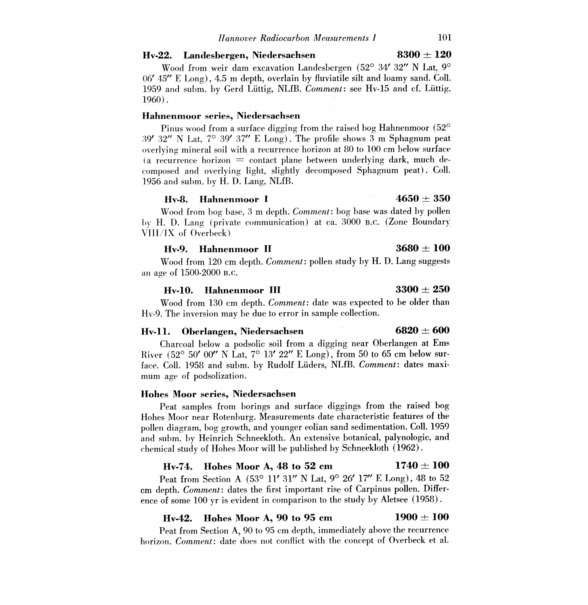### Hv-22. Landesbergen, Niedersachsen  $8300 \pm 120$

Wood from weir dam excavation Landesbergen (52° 34' 32" N Lat, 9° 06' 45" E Long), 4.5 m depth, overlain by fluviatile silt and loamy sand. Coll. 1959 and subm. by Gerd Luttig, NLfB. Comment: see Hv-15 and cf. Luttig, 1960).

### Hahnenmoor series, Niedersachsen

Pinus wood from a surface digging from the raised bog Hahnenmoor  $(52^{\circ}$ 39' 32" N Lat, 7° 39' 37" E Long). The profile shows 3 m Sphagnum peat overlying mineral soil with a recurrence horizon at 80 to 100 cm below surface (a recurrence horizon  $\equiv$  contact plane between underlying dark, much decomposed and overlying light, slightly decomposed Sphagnum peat). Coll. 1956 and subm, by H. D. Lang, NLfB.

### Hv-8. Hahnenmoor I  $4650 \pm 350$

Wood from bog base, 3 m depth. Comment: bog base was dated by pollen by H. D. Lang (private communication) at ca. 3000 B.C. (Zone Boundary VIII/IX of Overbeck)

### Hv-9. Hahnenmoor II  $3680 \pm 100$

Wood from 120 cm depth. *Comment*: pollen study by H. D. Lang suggests an age of 1500-2000 B.C.

### Hv-10. Hahnenmoor III  $3300 \pm 250$

Wood from 130 cm depth. Comment: date was expected to be older than Hv-9. The inversion may be due to error in sample collection.

### Hv-11. Oberlangen, Niedersachsen 6820  $\pm$  600

Charcoal below a podsolic soil from a digging near Oberlangen at Ems River (52° 50' 00" N Lat,  $7^{\circ}$  13' 22" E Long), from 50 to 65 cm below surface. Coll. 1958 and subm, by Rudolf Luders, NLfB. Comment: dates maximum age of podsolization.

### lobes Moor series, Niedersachsen

Peat samples from borings and surface diggings from the raised bog Hohes Moor near Rotenburg. Measurements date characteristic features of the pollen diagram, bog growth, and younger eolian sand sedimentation. Coll. 1959 and subm, by Heinrich Schneekloth. An extensive botanical, palynologic, and chemical study of Hohes Moor will be published by Schneekloth (1962).

### Hv-74. Hohes Moor A, 48 to 52 cm  $1740 \pm 100$

Peat from Section A (53° 11' 31" N Lat, 9° 26' 17" E Long), 48 to 52 cm depth. Comment: dates the first important rise of Carpinus pollen. Difference of some 100 yr is evident in comparison to the study by Aletsee (1958).

### Hv-42. Hohes Moor A, 90 to 95 cm  $1900 \pm 100$

Peat from Section A, 90 to 95 cm depth, immediately above the recurrence horizon. Comment: date does not conflict with the concept of Overbeck et al.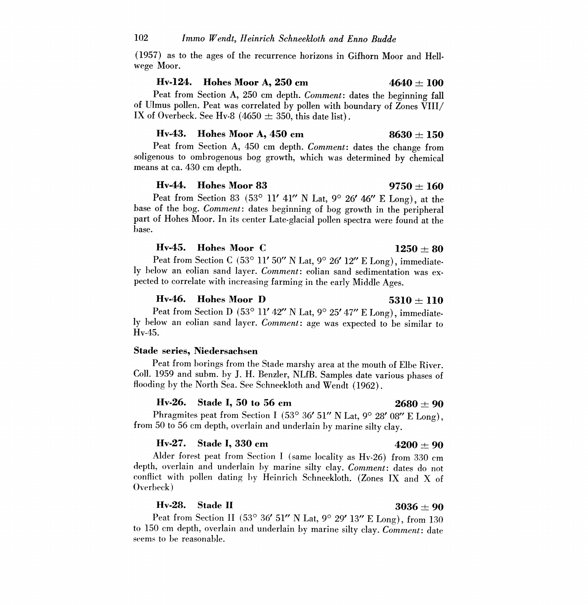(1957) as to the ages of the recurrence horizons in Gifhorn Moor and Hellwege Moor.

### Hv-124. Hohes Moor A, 250 cm  $4640 \pm 100$

Peat from Section A, 250 cm depth. Comment: dates the beginning fall of Ulmus pollen. Peat was correlated by pollen with boundary of Zones VIII/ IX of Overbeck. See Hv-8  $(4650 \pm 350,$  this date list).

### Hv-43. Hohes Moor A, 450 cm  $8630 \pm 150$

Peat from Section A, 450 cm depth. Comment: dates the change from soligenous to ombrogenous bog growth, which was determined by chemical means at ca. 430 cm depth.

### Hv-44. Hohes Moor 83 9750  $\pm 160$

Peat from Section 83 (53° 11' 41" N Lat, 9° 26' 46" E Long), at the base of the bog. Comment: dates beginning of bog growth in the peripheral part of Hohes Moor. In its center Late-glacial pollen spectra were found at the base.

### Hv-45. Hohes Moor C  $1250 \pm 80$

Peat from Section C (53° 11' 50" N Lat, 9° 26' 12" E Long), immediately below an eolian sand layer. Comment: eolian sand sedimentation was expected to correlate with increasing farming in the early Middle Ages.

### Hv-46. Hohes Moor D 5310  $\pm$  110

Peat from Section D (53° 11' 42" N Lat,  $9^{\circ}$  25' 47" E Long), immediately below an eolian sand layer. Comment: age was expected to be similar to Hv-45.

### Stade series, Niedersachsen

Peat from borings from the Stade marshy area at the mouth of Elbe River. Coll. 1959 and subm. by J. H. Benzler, NLfB. Samples date various phases of flooding by the North Sea. See Schneekloth and Wendt (1962).

**Hv-26.** Stade I, 50 to 56 cm 2680  $\pm$  90<br>Phragmites peat from Section I (53° 36' 51" N Lat, 9° 28' 08" E Long). from 50 to 56 cm depth, overlain and underlain by marine silty clay.

Hv-27. Stade I, 330 cm  $4200 \pm 90$ <br>Alder forest peat from Section I (same locality as Hv-26) from 330 cm depth, overlain and underlain by marine silty clay. Comment: dates do not conflict with pollen dating by Heinrich Schneekloth. (Zones IX and X of Overbeck )

### Hv-28. Stade II  $3036 \pm 90$

Peat from Section II (53° 36' 51" N Lat,  $9^{\circ}$  29' 13" E Long), from 130 to 150 cm depth, overlain and underlain by marine silty clay. *Comment*: date seems to be reasonable.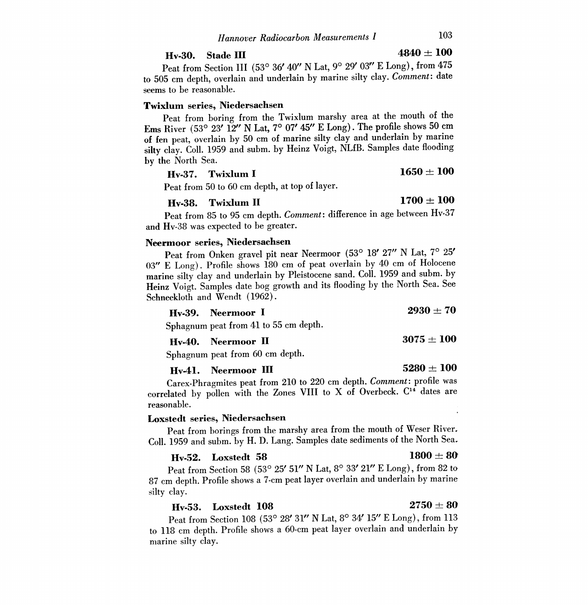# Hv-30. Stade III  $4840 \pm 100$

Peat from Section III (53° 36' 40" N Lat, 9° 29' 03" E Long), from 475 to 505 cm depth, overlain and underlain by marine silty clay. Comment: date seems to be reasonable.

### Twixlum series, Niedersachsen

Peat from boring from the Twixlum marshy area at the mouth of the Ems River (53° 23' 12" N Lat, 7° 07' 45" E Long). The profile shows 50 cm of fen peat, overlain by 50 cm of marine silty clay and underlain by marine silty clay. Coll. 1959 and subm. by Heinz Voigt, NLfB. Samples date flooding by the North Sea.

### **Hv-37.** Twixlum I 1650  $\pm$  100

Peat from 50 to 60 cm depth, at top of layer.

### Hv-38. Twixlum II  $1700 \pm 100$

Peat from 85 to 95 cm depth. Comment: difference in age between Hv-37 and Hv-38 was expected to be greater.

### Neermoor series, Niedersachsen

Peat from Onken gravel pit near Neermoor (53° 18' 27" N Lat, 7° 25' 03" E Long). Profile shows 180 cm of peat overlain by 40 cm of Holocene marine silty clay and underlain by Pleistocene sand. Coll. 1959 and subm. by Heinz Voigt. Samples date bog growth and its flooding by the North Sea. See Schneekloth and Wendt (1962).

### Hv-39. Neermoor I  $2930 \pm 70$

Sphagnum peat from 41 to 55 cm depth.

### Hv-40. Neermoor II  $3075 \pm 100$

Sphagnum peat from 60 cm depth.

**Hv-41.** Neermoor III 5280  $\pm$  100

Carex-Phragmites peat from 210 to 220 cm depth. Comment: profile was correlated by pollen with the Zones VIII to X of Overbeck.  $C<sup>14</sup>$  dates are reasonable.

### Loxstedt series, Niedersachsen

Peat from borings from the marshy area from the mouth of Weser River. Coil. 1959 and subm. by H. D. Lang. Samples date sediments of the North Sea.

### Hv-52. Loxstedt 58 1800  $\pm 80$

Peat from Section 58 (53° 25' 51" N Lat, 8° 33' 21" E Long), from 82 to 87 cm depth. Profile shows a 7-cm peat layer overlain and underlain by marine silty clay.

### Hv-53. Loxstedt 108 2750  $\pm 80$

Peat from Section 108 (53° 28' 31" N Lat, 8° 34' 15" E Long), from 113 to 118 cm depth. Profile shows a 60-cm peat layer overlain and underlain by marine silty clay.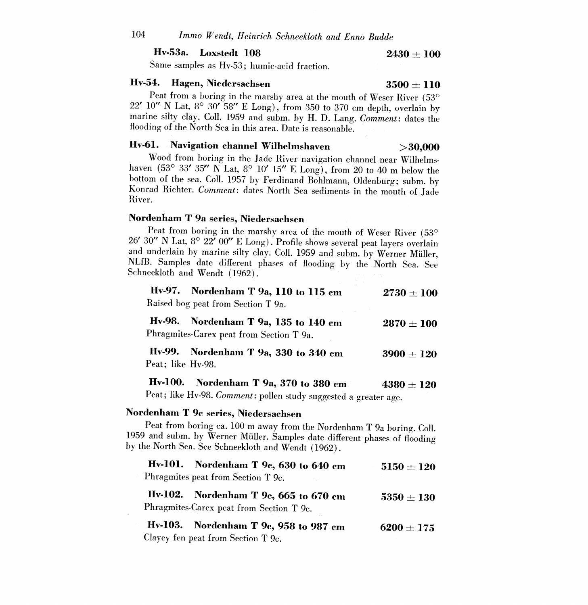### Hv-53a. Loxstedt  $108$  2430  $\pm$  100

Same samples as Hv-53 ; humic-acid fraction.

**Hv-54. Hagen, Niedersachsen** 3500  $\pm$  110<br>Peat from a boring in the marshy area at the mouth of Weser River (53<sup>o</sup>  $22'$  10" N Lat, 8° 30' 58" E Long), from 350 to 370 cm depth, overlain by marine silty clay. Coll. 1959 and subm. by H. D. Lang. Comment: dates the flooding of the North Sea in this area. Date is reasonable.

### Hv-61. Navigation channel Wilhelmshaven  $>30,000$

Wood from boring in the Jade River navigation channel near Wilhelmshaven (53° 33′ 35″ N Lat, 8° 10′ 15″ E Long), from 20 to 40 m below the bottom of the sea. Coll. 1957 by Ferdinand Bohlmann, Oldenburg; subm. by Konrad Richter. Comment: dates North Sea sediments in the mouth of Jade River.

### Nordenham T 9a series, Niedersachsen

Peat from boring in the marshy area of the mouth of Weser River (53° 26' 30" N Lat, 8° 22' 00" E Long). Profile shows several peat layers overlain and underlain by marine silty clay. Coll. 1959 and subm. by Werner Müller. NLfB. Samples date different phases of flooding by the North Sea. See Schneekloth and Wendt (1962).

|                                    | Hv-97. Nordenham T 9a, $110$ to $115$ cm | $2730 \pm 100$ |  |
|------------------------------------|------------------------------------------|----------------|--|
| Raised bog peat from Section T 9a. |                                          |                |  |
|                                    | Hv-98. Nordenham T 9a, 135 to 140 cm     | $2870 \pm 100$ |  |

Phragmites-Carex peat from Section T 9a.

Hv-99. Nordenham T 9a, 330 to 340 cm  $3900 \pm 120$ Peat; like Hv-98.

Hv-100. Nordenham T 9a, 370 to 380 cm  $4380 \pm 120$ 

Peat; like Hv-98. Comment: pollen study suggested a greater age.

### Nordenham T 9c series, Niedersachsen

Peat from boring ca. 100 m away from the Nordenham T 9a boring. Coll. <sup>1959</sup>and subm. by Werner Muller. Samples date different phases of flooding by the North Sea. See Schneekloth and Wendt (1962).

| Hv-101. Nordenham T 9c, 630 to 640 cm<br>Phragmites peat from Section T 9c.       | $5150 + 120$   |
|-----------------------------------------------------------------------------------|----------------|
| Hv-102. Nordenham T 9c, 665 to 670 cm<br>Phragmites-Carex peat from Section T 9c. | $5350 \pm 130$ |
| Hv-103. Nordenham T 9c, 958 to 987 cm<br>Clayey fen peat from Section T 9c.       | $6200 + 175$   |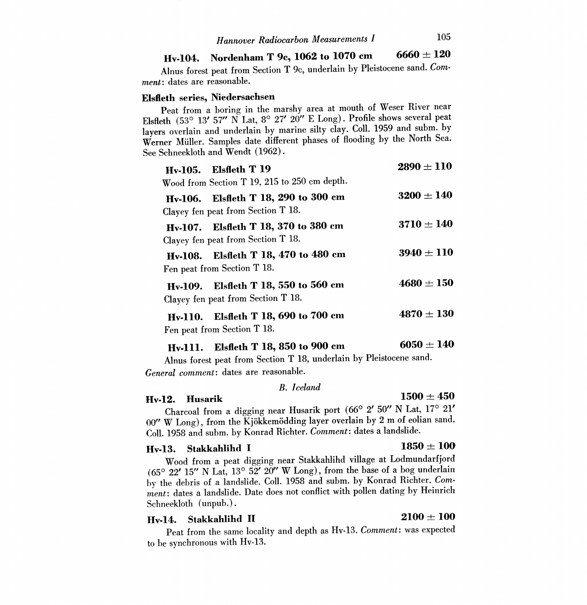### Hv-104. Nordenham T 9c, 1062 to 1070 cm 6660  $\pm$  120

Alnus forest peat from Section T 9c, underlain by Pleistocene sand. Comment: dates are reasonable.

### Elsfleth series, Niedersachsen

Peat from a boring in the marshy area at mouth of Weser River near Elsfleth (53° 13' 57" N Lat, 8° 27' 20" E Long). Profile shows several peat layers overlain and underlain by marine silty clay. Coll. 1959 and subm. by Werner Muller. Samples date different phases of flooding by the North Sea. See Schneekloth and Wendt (1962).

| <b>Hv-105.</b> Elsfleth T 19<br>Wood from Section T 19, 215 to 250 cm depth. | $2890 \pm 110$ |
|------------------------------------------------------------------------------|----------------|
| Hv-106. Elsfleth T 18, 290 to 300 cm<br>Clayey fen peat from Section T 18.   | $3200 \pm 140$ |
| Hv-107. Elsfleth T 18, 370 to 380 cm<br>Clayey fen peat from Section T 18.   | $3710 \pm 140$ |
| Elsfleth T 18, 470 to 480 cm<br>Hv-108.<br>Fen peat from Section T 18.       | $3940 \pm 110$ |
| Hv-109. Elsfleth T 18, 550 to 560 cm<br>Clayey fen peat from Section T 18.   | $4680 \pm 150$ |
| Hv-110. Elsfleth T 18, 690 to 700 cm<br>Fen peat from Section T 18.          | $4870 \pm 130$ |
| Elsfleth T 18, 850 to 900 cm<br><b>Hv-111.</b>                               | $6050 \pm 140$ |

Alnus forest peat from Section T 18, underlain by Pleistocene sand. General comment: dates are reasonable.

### B. Iceland

# **Hv-12.** Husarik  $B:$  *Legand* 1500  $\pm$  450

Charcoal from a digging near Husarik port (66° 2′ 50″ N Lat, 17° 21′ 00" W Long), from the Kjökkemödding layer overlain by 2 m of eolian sand. Coil. 1958 and subm. by Konrad Richter. Comment: dates a landslide.

### Hv-13. Stakkahlihd I 1850  $\pm 100$

Wood from a peat digging near Stakkahlihd village at Lodmundarfjord (65° 22' 15" N Lat, 13° 52' 20" W Long), from the base of a bog underlain by the debris of a landslide. Coll. 1958 and subm. by Konrad Richter. Comment: dates a landslide. Date does not conflict with pollen dating by Heinrich Schneekloth (unpub.).

### Hv-14. Stakkahlihd II  $2100 \pm 100$

Peat from the same locality and depth as Hv-13. Comment: was expected to be synchronous with Hv-13.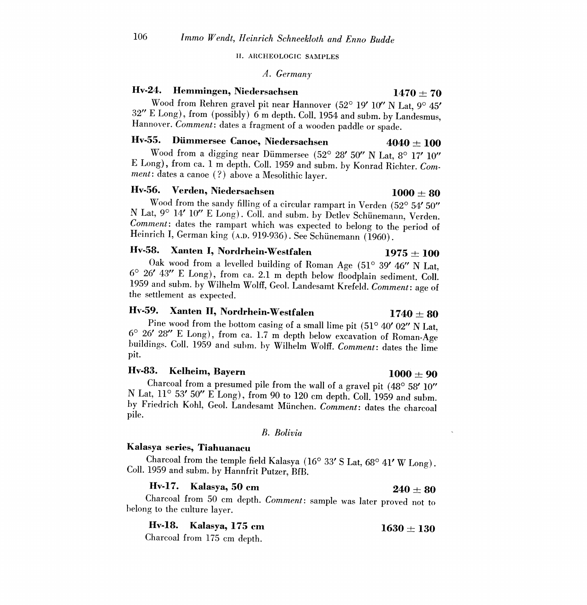II. ARCHEOLOGIC SAMPLES

### A. Germany

### Hv-24. Hemmingen, Niedersachsen 1470  $\pm 70$

Wood from Rehren gravel pit near Hannover (52° 19' 10" N Lat, 9° 45'  $32''$  E Long), from (possibly) 6 m depth. Coll. 1954 and subm. by Landesmus, Hannover. Comment: dates a fragment of a wooden paddle or spade.

### Hv-55. Dümmersee Canoe, Niedersachsen  $4040 \pm 100$

Wood from a digging near Dümmersee (52° 28' 50" N Lat,  $8^\circ$  17' 10" <sup>E</sup>Long), from ca. 1 m depth. Coll. 1959 and subm. by Konrad Richter. Comment: dates a canoe (?) above a Mesolithic layer.

### $Hv-56.$  Verden, Niedersachsen  $1000 \pm 80$

Wood from the sandy filling of a circular rampart in Verden (52° 54' 50" N Lat, 9° 14' 10" E Long). Coll. and subm. by Detlev Schünemann, Verden. Comment: dates the rampart which was expected to belong to the period of Heinrich I, German king (A.D. 919-936). See Schünemann (1960).

Hv-58. Xanten I, Nordrhein-Westfalen 1975  $\pm$  100<br>Oak wood from a levelled building of Roman Age (51° 39' 46" N Lat.  $6^{\circ}$  26' 43" E Long), from ca. 2.1 m depth below floodplain sediment. Coll. 1959 and subm, by Wilhelm Wolff, Geol. Landesamt Krefeld. Comment: age of the settlement as expected.

Hv-59. Xanten II, Nordrhein-Westfalen 1740  $\pm$  80<br>Pine wood from the bottom casing of a small lime pit (51° 40′ 02″ N Lat.  $\sigma$   $96'$ Pine wood from the bottom casing of a small lime pit  $(51^{\circ} 40' 02''$  N Lat,  $6^{\circ} 26' 28''$  E Long), from ca. 1.7 m depth below excavation of Roman-Age buildings. Coll. 1959 and subm. by Wilhelm Wolff. *Comment*: dates buildings. Coll. 1959 and subm. by Wilhelm Wolff. Comment: dates the lime pit.

## Hv-83. Kelheim, Bayern  $1000 \pm 90$

Charcoal from a presumed pile from the wall of a gravel pit  $(48^{\circ} 58' 10''$ N Lat, 11° 53' 50" E Long), from 90 to 120 cm depth. Coll. 1959 and subm.<br>by Friedrich Kohl, Geol. Landesamt München. Comment: dates the charcoal pile.

### B. Bolivia

### Kalasya series, Tiahuanacu

Charcoal from the temple field Kalasya (16° 33' S Lat, 68° 41' W Long). Coll. 1959 and subm. by Hannfrit Putzer, BfB.

### Hv-17. Kalasya, 50 cm  $240 + 80$

Charcoal from 50 cm depth. Comment: sample was later proved not to belong to the culture layer.

Hv-18. Kalasya, 175 cm  $1630 \pm 130$ 

Charcoal from 175 cm depth.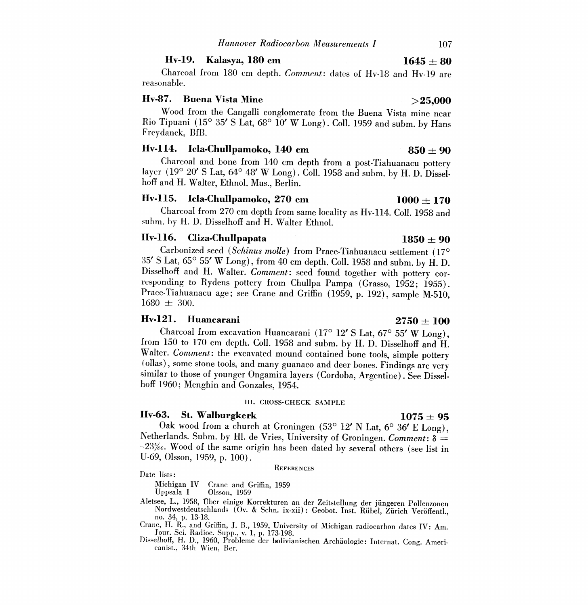### Hv-19. Kalasya, 180 cm  $1645 \pm 80$

Charcoal from 180 cm depth. Comment: dates of Hv-18 and Hv-19 are reasonable.

### Hv-87. Buena Vista Mine  $>25,000$

Wood from the Cangalli conglomerate from the Buena Vista mine near Rio Tipuani (15° 35' S Lat, 68° 10' W Long). Coll. 1959 and subm. by Hans Freydanck, BfB.

# **Hv-114.** Icla-Chullpamoko, 140 cm<br>Charcoal and bone from 140 cm depth from a post-Tiahuanacu pottery

layer (19° 20' S Lat, 64° 48' W Long). Coll. 1958 and subm. by H. D. Disselhoff and H. Walter, Ethnol. Mus., Berlin.

### Hv-115. Icla-Chullpamoko, 270 cm  $1000 \pm 170$

Charcoal from 270 cm depth from same locality as Hv-114. Coll. 1958 and suhm, by H. D. Disselhoff and H. Walter Ethnol.

### Hv-116. Cliza-Chullpapata  $1850 \pm 90$

Carbonized seed (Schinus molle) from Prace-Tiahuanacu settlement (17°  $35'$  S Lat,  $65^{\circ}$  55' W Long), from 40 cm depth. Coll. 1958 and subm. by H. D. Disselhoff and H. Walter. *Comment*: seed found together with pottery corresponding to Rydens pottery from Chullpa Pampa (Grasso, 1952; 1955).<br>Prace-Tiahuanacu age; see Crane and Griffin (1959, p. 192), sample M-510,  $1680 \pm 300.$ 

# **Hv-121. Huancarani** 2750  $\pm$  100<br>Charcoal from excavation Huancarani (17<sup>o</sup> 12' S Lat, 67<sup>o</sup> 55' W Long), from 150 to 170 cm depth. Coll. 1958 and subm. by H. D. Disselhoff and H. Walter. *Comment*: the excavated mound contained bone tools, simple pottery (ollas), some stone tools, and many guanaco and deer bones. Findings are very similar to those of younger Ongamira layers (Cordoba, Argentine). See Disselhoff 1960; Menghin and Gonzales, 1954.

### III. CROSS-CHECK SAMPLE

Hv-63. St. Walburgkerk 1075  $\pm$  95<br>Oak wood from a church at Groningen (53° 12' N Lat, 6° 36' E Long). Netherlands. Subm. by Hl. de Vries, University of Groningen. Comment:  $\delta$  = -23%. Wood of the same origin has been dated by several others (see list in U-69, Olsson, 1959, p. 100).

**REFERENCES** 

### Date lists:

Michigan IV Crane and Griffin, 1959 Olsson, 1959

Aletsee, L., 1958, Uber einige Korrekturen an der Zeitstellung der jungeren Pollenzonen Nordwestdeutschlands (Ov. & Schn. ix-xii) : Geobot. Inst. Ruhel, Zurich Veroffentl., no. 34, p. 13-18.

Crane, H. R., and Griffin, J. B., 1959, University of Michigan radiocarbon dates IV: Am. Jour. Sci. Radioc. Supp., v. 1, p. 173-198.

Disselhoff, H. D., 1960, Probleme der bolivianischen Archäologie: Internat. Cong. Ameri- canist., 34th Wien, Ber.